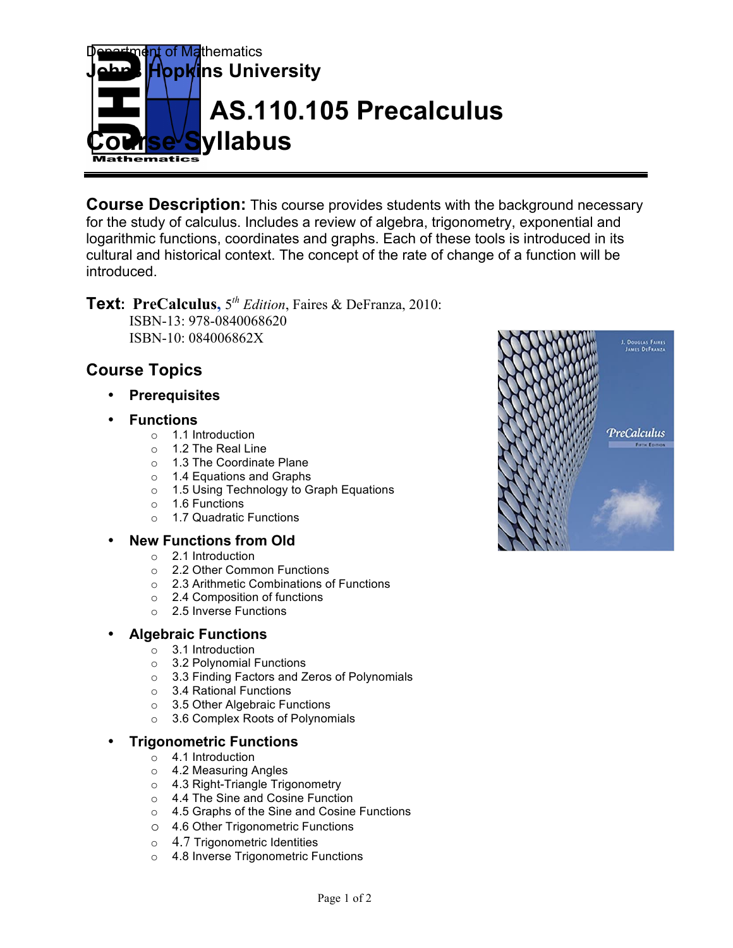

**Course Description:** This course provides students with the background necessary for the study of calculus. Includes a review of algebra, trigonometry, exponential and logarithmic functions, coordinates and graphs. Each of these tools is introduced in its cultural and historical context. The concept of the rate of change of a function will be introduced.

**Text: PreCalculus,** 5*th Edition*, Faires & DeFranza, 2010: ISBN-13: 978-0840068620 ISBN-10: 084006862X

# **Course Topics**

- **Prerequisites**
- **Functions**
	- o 1.1 Introduction
	- o 1.2 The Real Line
	- o 1.3 The Coordinate Plane
	- o 1.4 Equations and Graphs
	- o 1.5 Using Technology to Graph Equations
	- o 1.6 Functions
	- o 1.7 Quadratic Functions

### • **New Functions from Old**

- o 2.1 Introduction
- o 2.2 Other Common Functions
- o 2.3 Arithmetic Combinations of Functions
- o 2.4 Composition of functions
- o 2.5 Inverse Functions

### • **Algebraic Functions**

- o 3.1 Introduction
- o 3.2 Polynomial Functions
- o 3.3 Finding Factors and Zeros of Polynomials
- o 3.4 Rational Functions
- o 3.5 Other Algebraic Functions
- o 3.6 Complex Roots of Polynomials

### • **Trigonometric Functions**

- o 4.1 Introduction
- o 4.2 Measuring Angles
- o 4.3 Right-Triangle Trigonometry
- o 4.4 The Sine and Cosine Function
- o 4.5 Graphs of the Sine and Cosine Functions
- o 4.6 Other Trigonometric Functions
- o 4.7 Trigonometric Identities
- o 4.8 Inverse Trigonometric Functions